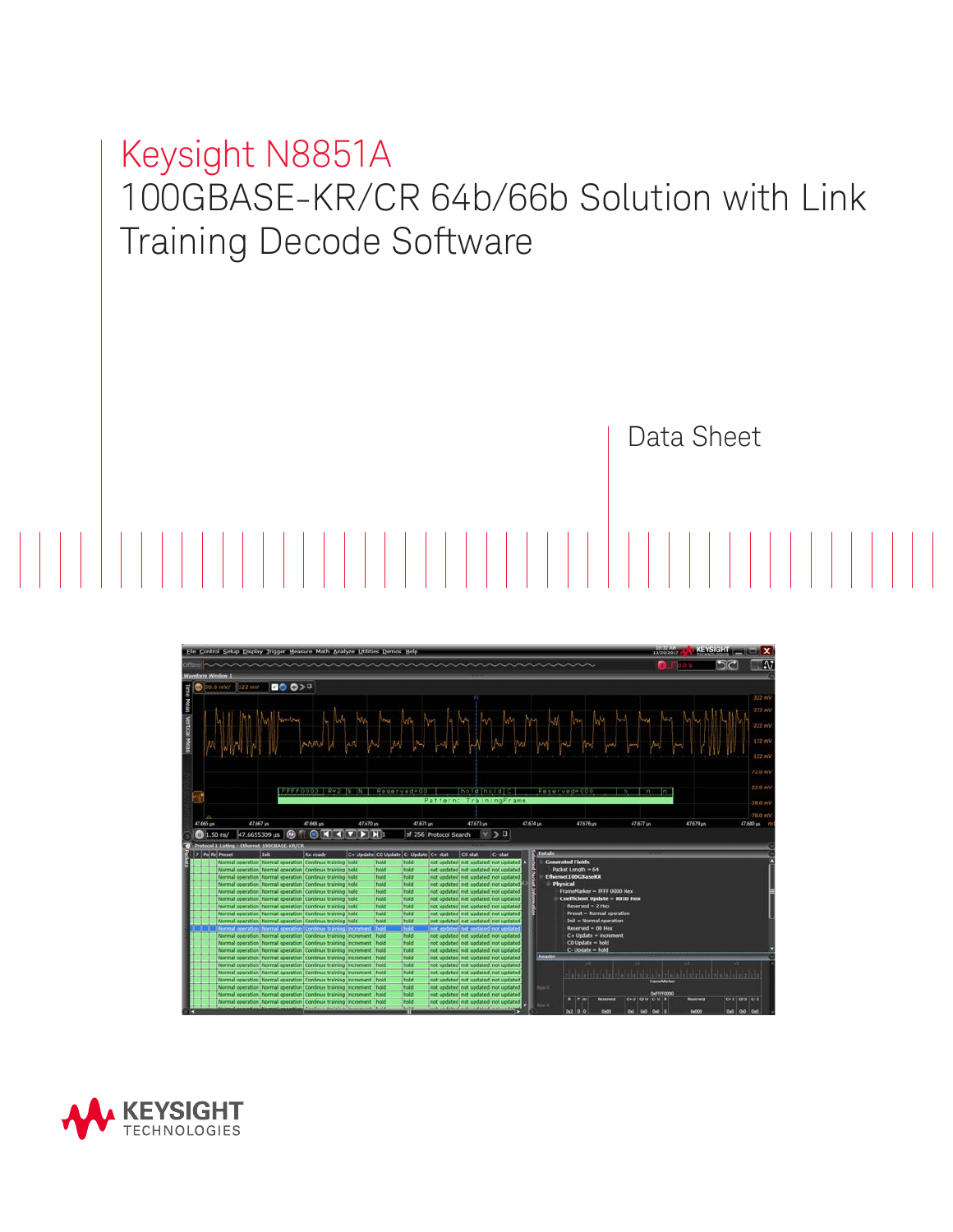# Keysight N8851A 100GBASE-KR/CR 64b/66b Solution with Link Training Decode Software

Data Sheet

 $5<sub>c</sub>$ **BO 0>** los pa y la pa los pa y los pa los ma

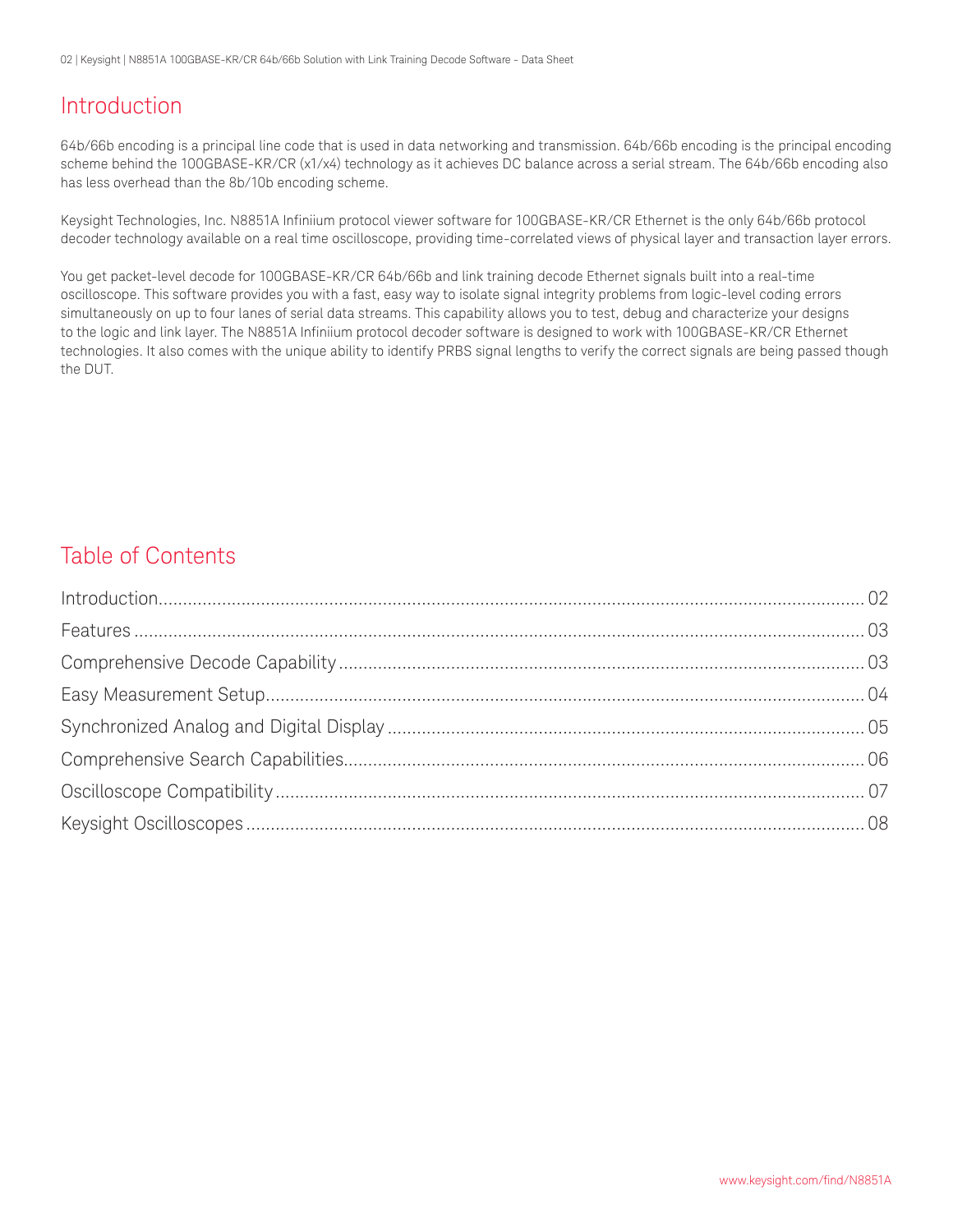02 | Keysight | N8851A 100GBASE-KR/CR 64b/66b Solution with Link Training Decode Software - Data Sheet

### Introduction

64b/66b encoding is a principal line code that is used in data networking and transmission. 64b/66b encoding is the principal encoding scheme behind the 100GBASE-KR/CR (x1/x4) technology as it achieves DC balance across a serial stream. The 64b/66b encoding also has less overhead than the 8b/10b encoding scheme.

Keysight Technologies, Inc. N8851A Infiniium protocol viewer software for 100GBASE-KR/CR Ethernet is the only 64b/66b protocol decoder technology available on a real time oscilloscope, providing time-correlated views of physical layer and transaction layer errors.

You get packet-level decode for 100GBASE-KR/CR 64b/66b and link training decode Ethernet signals built into a real-time oscilloscope. This software provides you with a fast, easy way to isolate signal integrity problems from logic-level coding errors simultaneously on up to four lanes of serial data streams. This capability allows you to test, debug and characterize your designs to the logic and link layer. The N8851A Infiniium protocol decoder software is designed to work with 100GBASE-KR/CR Ethernet technologies. It also comes with the unique ability to identify PRBS signal lengths to verify the correct signals are being passed though the DUT.

### Table of Contents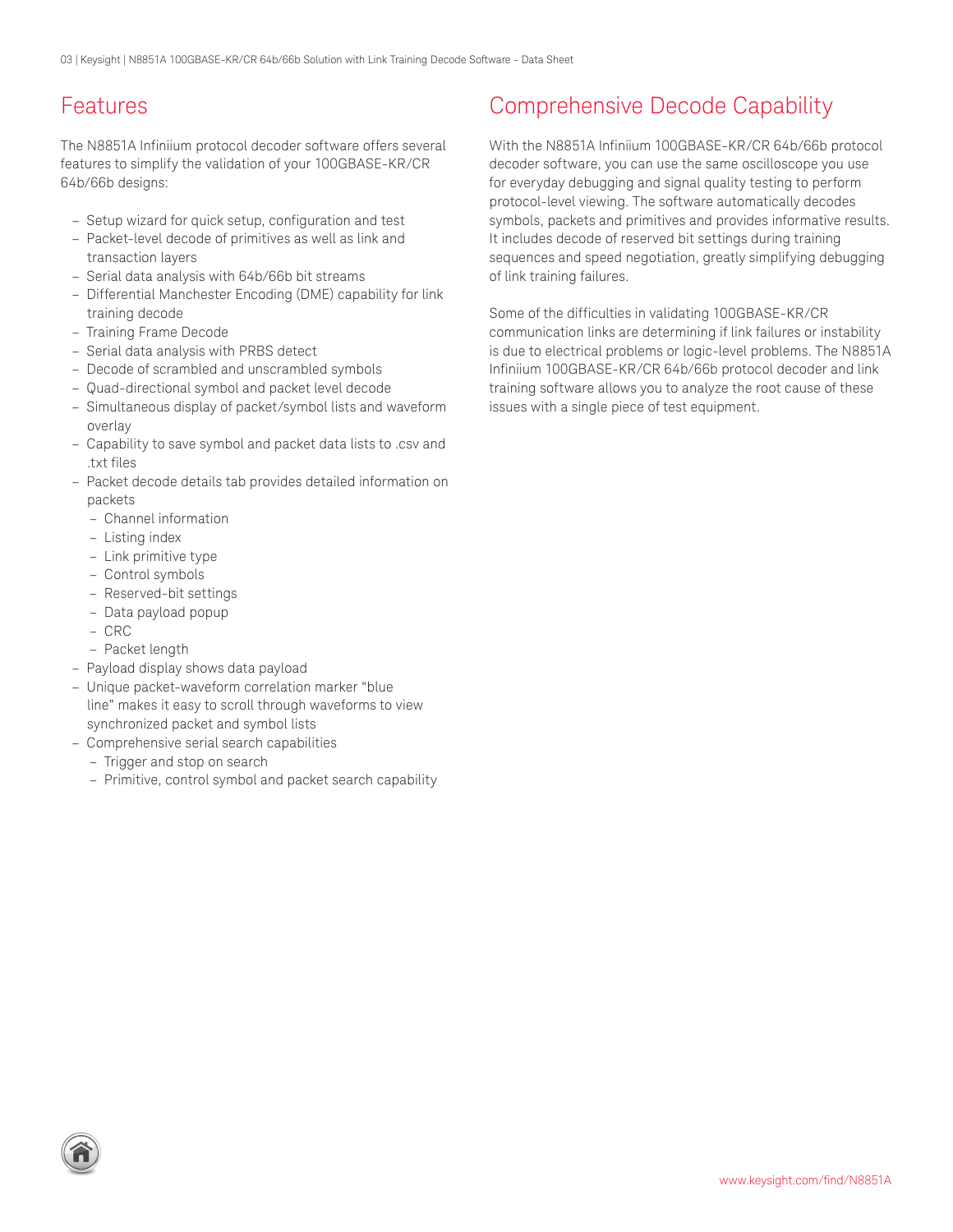### <span id="page-2-0"></span>Features

The N8851A Infiniium protocol decoder software offers several features to simplify the validation of your 100GBASE-KR/CR 64b/66b designs:

- Setup wizard for quick setup, configuration and test
- Packet-level decode of primitives as well as link and transaction layers
- Serial data analysis with 64b/66b bit streams
- Differential Manchester Encoding (DME) capability for link training decode
- Training Frame Decode
- Serial data analysis with PRBS detect
- Decode of scrambled and unscrambled symbols
- Quad-directional symbol and packet level decode
- Simultaneous display of packet/symbol lists and waveform overlay
- Capability to save symbol and packet data lists to .csv and .txt files
- Packet decode details tab provides detailed information on packets
	- Channel information
	- Listing index
	- Link primitive type
	- Control symbols
	- Reserved-bit settings
	- Data payload popup
	- CRC
	- Packet length
- Payload display shows data payload
- Unique packet-waveform correlation marker "blue line" makes it easy to scroll through waveforms to view synchronized packet and symbol lists
- Comprehensive serial search capabilities
- Trigger and stop on search
- Primitive, control symbol and packet search capability

### Comprehensive Decode Capability

With the N8851A Infiniium 100GBASE-KR/CR 64b/66b protocol decoder software, you can use the same oscilloscope you use for everyday debugging and signal quality testing to perform protocol-level viewing. The software automatically decodes symbols, packets and primitives and provides informative results. It includes decode of reserved bit settings during training sequences and speed negotiation, greatly simplifying debugging of link training failures.

Some of the difficulties in validating 100GBASE-KR/CR communication links are determining if link failures or instability is due to electrical problems or logic-level problems. The N8851A Infiniium 100GBASE-KR/CR 64b/66b protocol decoder and link training software allows you to analyze the root cause of these issues with a single piece of test equipment.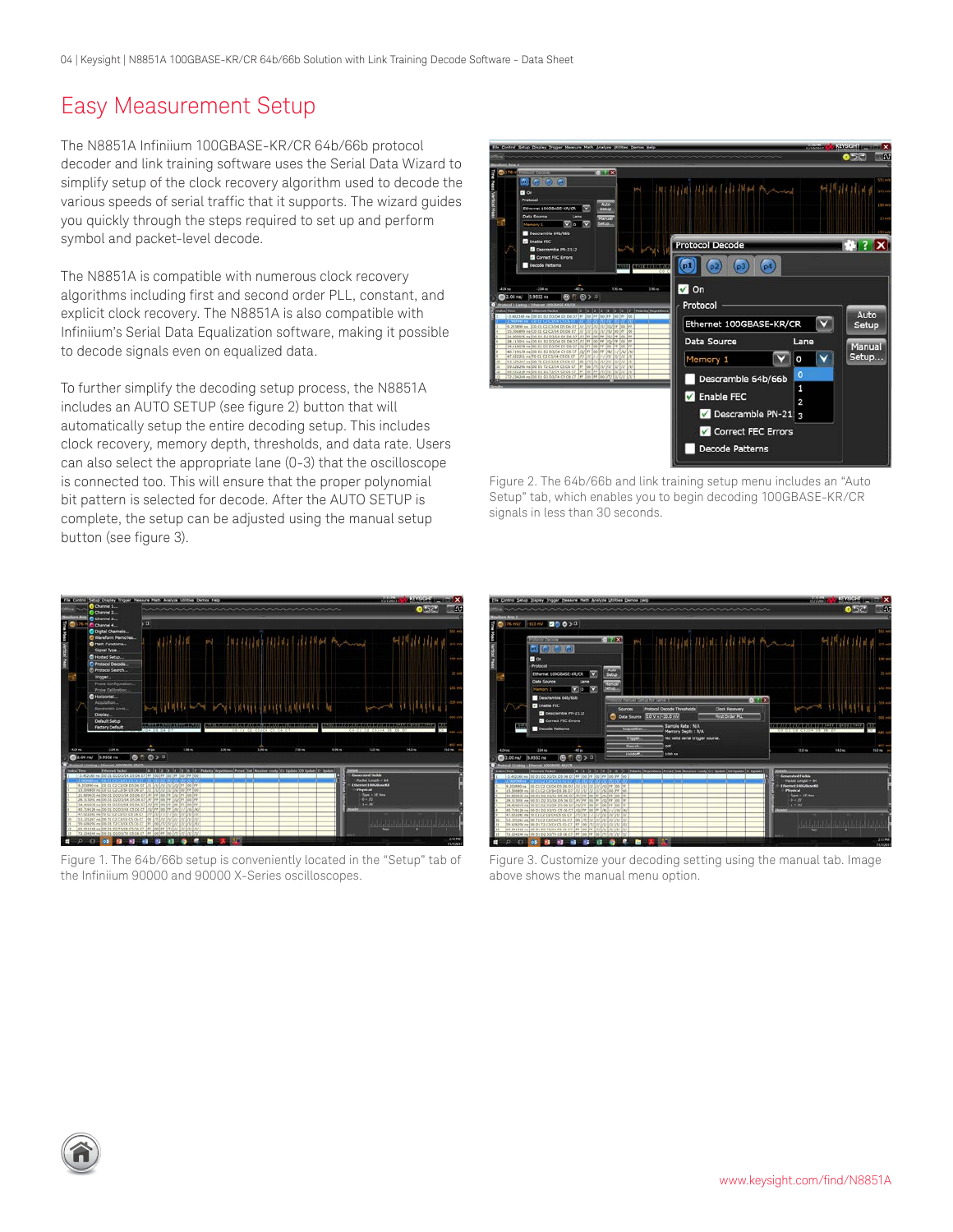### <span id="page-3-0"></span>Easy Measurement Setup

The N8851A Infiniium 100GBASE-KR/CR 64b/66b protocol decoder and link training software uses the Serial Data Wizard to simplify setup of the clock recovery algorithm used to decode the various speeds of serial traffic that it supports. The wizard guides you quickly through the steps required to set up and perform symbol and packet-level decode.

The N8851A is compatible with numerous clock recovery algorithms including first and second order PLL, constant, and explicit clock recovery. The N8851A is also compatible with Infiniium's Serial Data Equalization software, making it possible to decode signals even on equalized data.

To further simplify the decoding setup process, the N8851A includes an AUTO SETUP (see figure 2) button that will automatically setup the entire decoding setup. This includes clock recovery, memory depth, thresholds, and data rate. Users can also select the appropriate lane (0-3) that the oscilloscope is connected too. This will ensure that the proper polynomial bit pattern is selected for decode. After the AUTO SETUP is complete, the setup can be adjusted using the manual setup button (see figure 3).



Figure 2. The 64b/66b and link training setup menu includes an "Auto Setup" tab, which enables you to begin decoding 100GBASE-KR/CR signals in less than 30 seconds.



Figure 1. The 64b/66b setup is conveniently located in the "Setup" tab of the Infiniium 90000 and 90000 X-Series oscilloscopes.



Figure 3. Customize your decoding setting using the manual tab. Image above shows the manual menu option.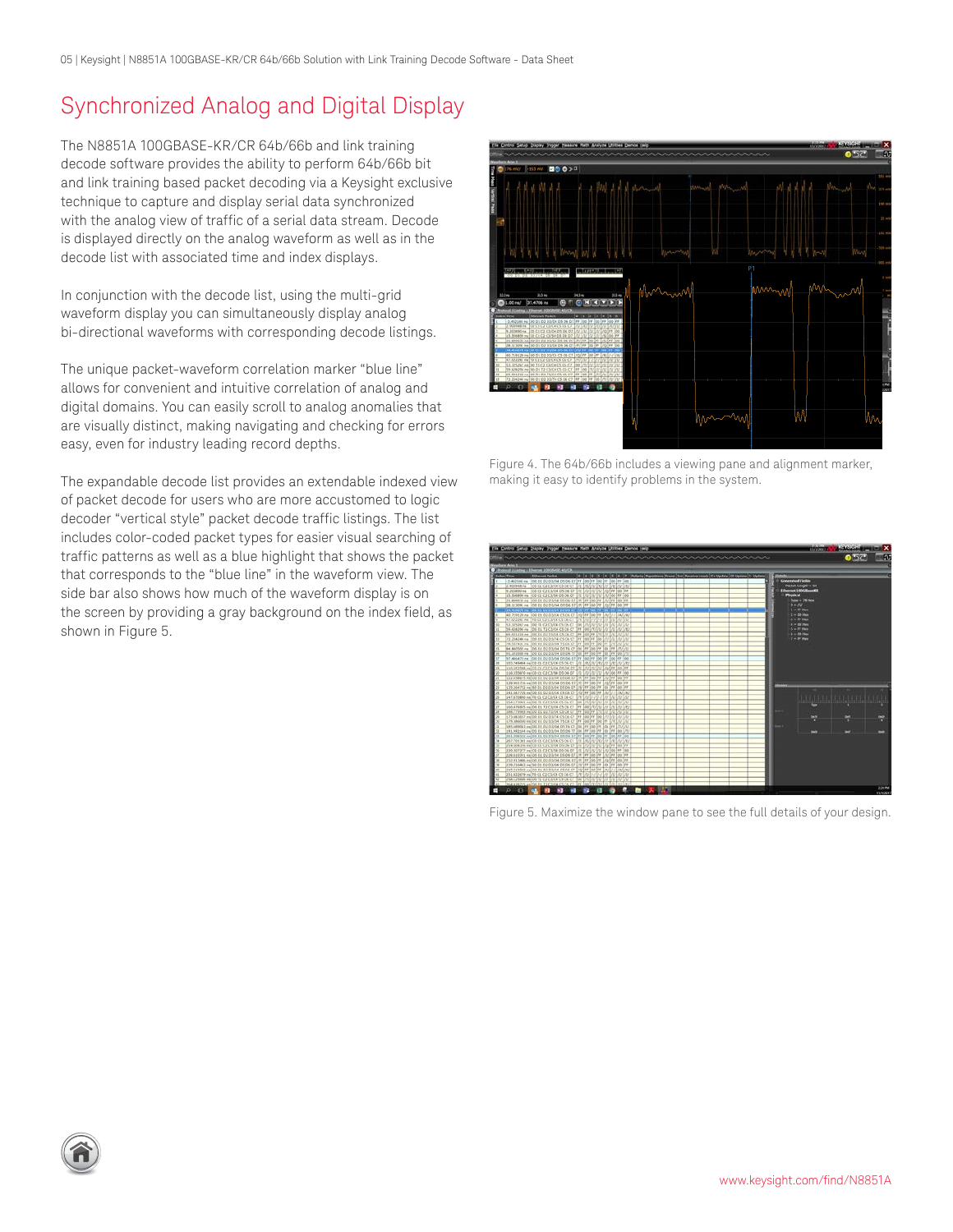<span id="page-4-0"></span>05 | Keysight | N8851A 100GBASE-KR/CR 64b/66b Solution with Link Training Decode Software - Data Sheet

### Synchronized Analog and Digital Display

The N8851A 100GBASE-KR/CR 64b/66b and link training decode software provides the ability to perform 64b/66b bit and link training based packet decoding via a Keysight exclusive technique to capture and display serial data synchronized with the analog view of traffic of a serial data stream. Decode is displayed directly on the analog waveform as well as in the decode list with associated time and index displays.

In conjunction with the decode list, using the multi-grid waveform display you can simultaneously display analog bi-directional waveforms with corresponding decode listings.

The unique packet-waveform correlation marker "blue line" allows for convenient and intuitive correlation of analog and digital domains. You can easily scroll to analog anomalies that are visually distinct, making navigating and checking for errors easy, even for industry leading record depths.

The expandable decode list provides an extendable indexed view of packet decode for users who are more accustomed to logic decoder "vertical style" packet decode traffic listings. The list includes color-coded packet types for easier visual searching of traffic patterns as well as a blue highlight that shows the packet that corresponds to the "blue line" in the waveform view. The side bar also shows how much of the waveform display is on the screen by providing a gray background on the index field, as shown in Figure 5.



Figure 4. The 64b/66b includes a viewing pane and alignment marker, making it easy to identify problems in the system.



Figure 5. Maximize the window pane to see the full details of your design.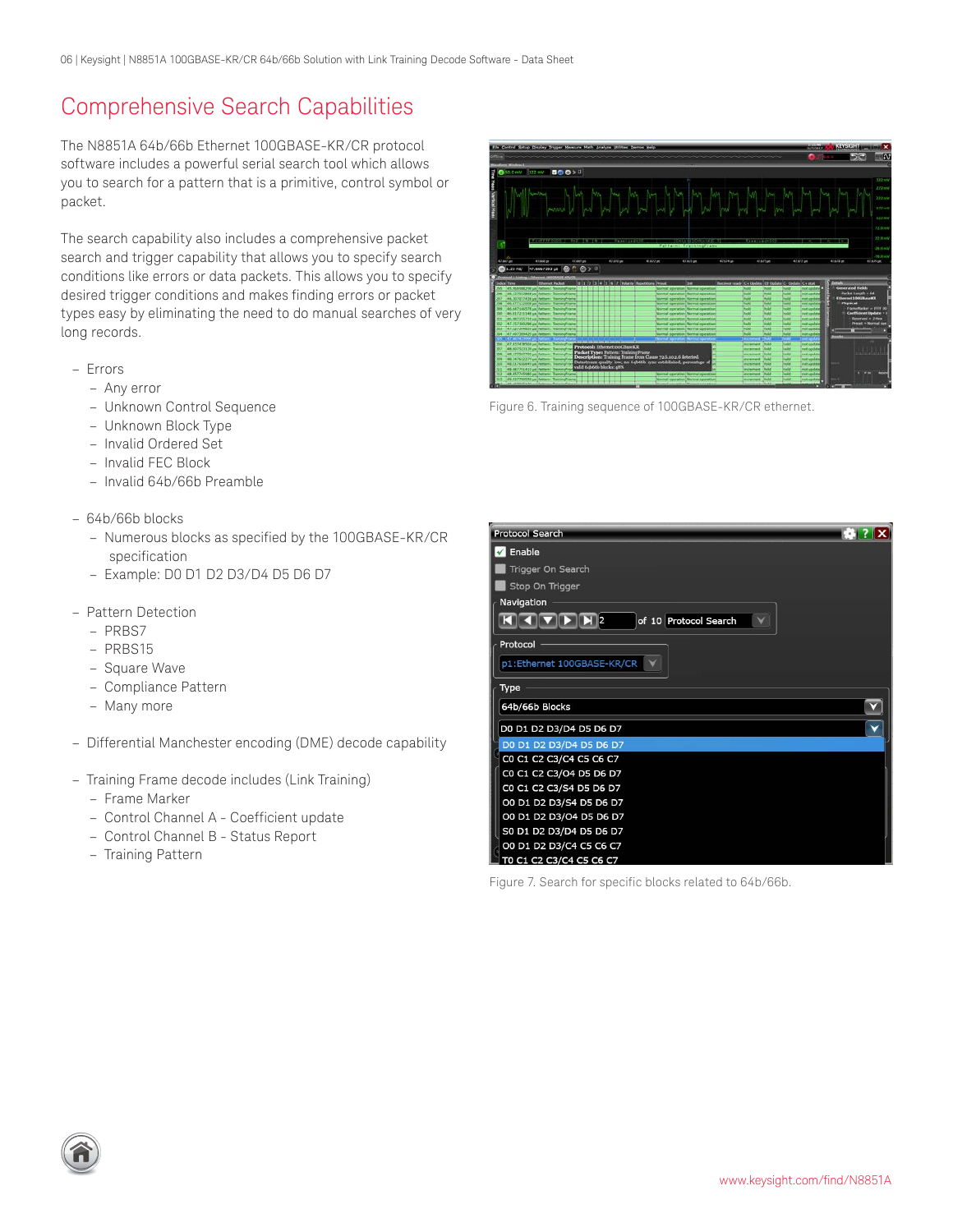### <span id="page-5-0"></span>Comprehensive Search Capabilities

The N8851A 64b/66b Ethernet 100GBASE-KR/CR protocol software includes a powerful serial search tool which allows you to search for a pattern that is a primitive, control symbol or packet.

The search capability also includes a comprehensive packet search and trigger capability that allows you to specify search conditions like errors or data packets. This allows you to specify desired trigger conditions and makes finding errors or packet types easy by eliminating the need to do manual searches of very long records.

- Errors
	- Any error
	- Unknown Control Sequence
	- Unknown Block Type
	- Invalid Ordered Set
	- Invalid FEC Block
	- Invalid 64b/66b Preamble
- 64b/66b blocks
	- Numerous blocks as specified by the 100GBASE-KR/CR specification
	- Example: D0 D1 D2 D3/D4 D5 D6 D7
- Pattern Detection
	- PRBS7
	- PRBS15
	- Square Wave
	- Compliance Pattern
	- Many more
- Differential Manchester encoding (DME) decode capability
- Training Frame decode includes (Link Training)
	- Frame Marker
	- Control Channel A Coefficient update
	- Control Channel B Status Report
	- Training Pattern



Figure 6. Training sequence of 100GBASE-KR/CR ethernet.



Figure 7. Search for specific blocks related to 64b/66b.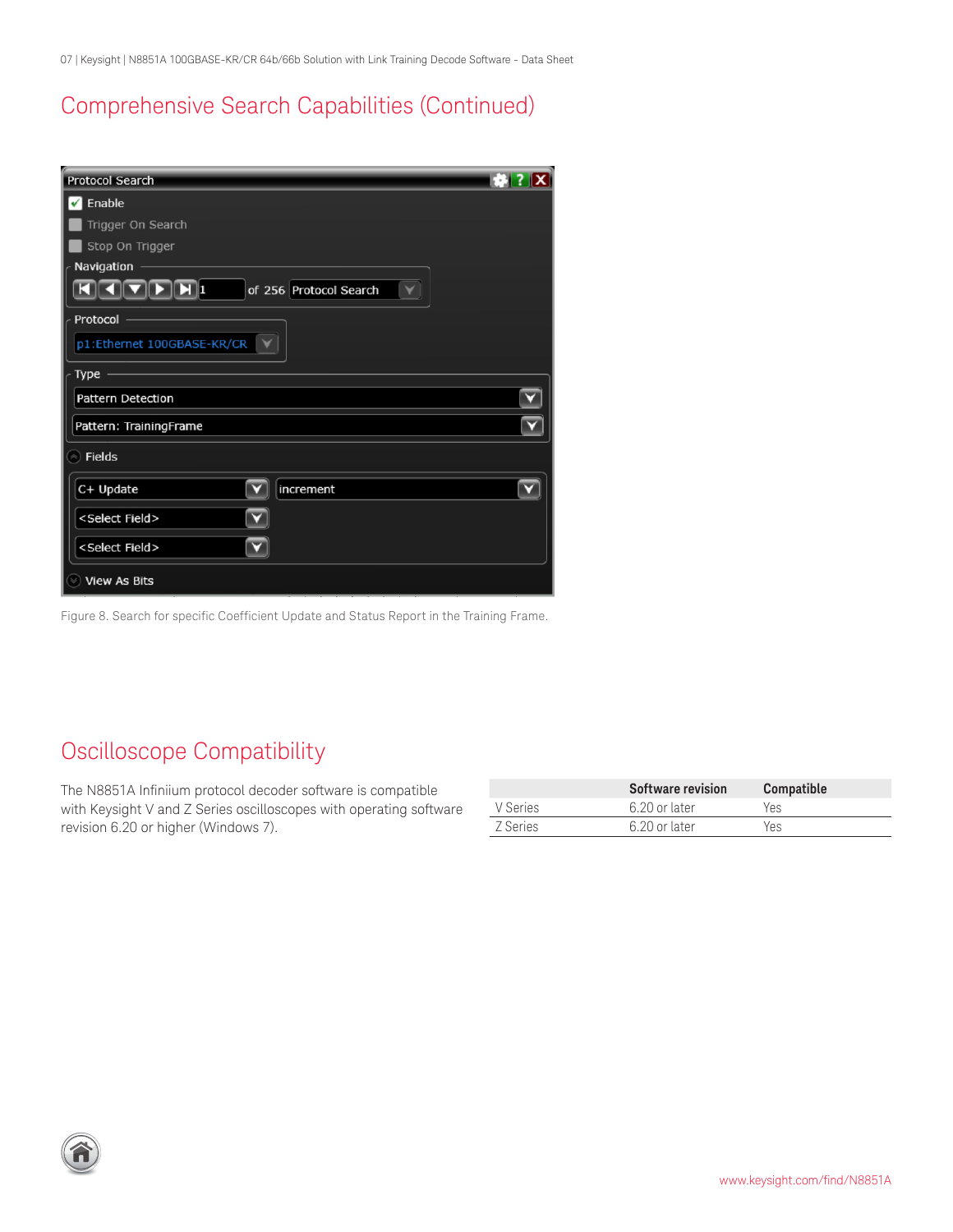<span id="page-6-0"></span>07 | Keysight | N8851A 100GBASE-KR/CR 64b/66b Solution with Link Training Decode Software - Data Sheet

### Comprehensive Search Capabilities (Continued)

| <b>Protocol Search</b>                   |  |
|------------------------------------------|--|
| Enable<br>$\checkmark$                   |  |
| Trigger On Search                        |  |
| Stop On Trigger                          |  |
| Navigation                               |  |
| $\mathbf{E}$ 1<br>of 256 Protocol Search |  |
| Protocol                                 |  |
| p1:Ethernet 100GBASE-KR/CR               |  |
| Type                                     |  |
| Pattern Detection                        |  |
| Pattern: TrainingFrame                   |  |
| <b>Fields</b><br>$\triangle$             |  |
| C+ Update<br>increment                   |  |
| <select field=""></select>               |  |
| <select field=""></select>               |  |
| <b>View As Bits</b>                      |  |

Figure 8. Search for specific Coefficient Update and Status Report in the Training Frame.

### Oscilloscope Compatibility

The N8851A Infiniium protocol decoder software is compatible with Keysight V and Z Series oscilloscopes with operating software revision 6.20 or higher (Windows 7).

|          | Software revision | Compatible |
|----------|-------------------|------------|
| V Series | 6.20 or later     | Yes.       |
| Z Series | 6.20 or later     | Yes        |

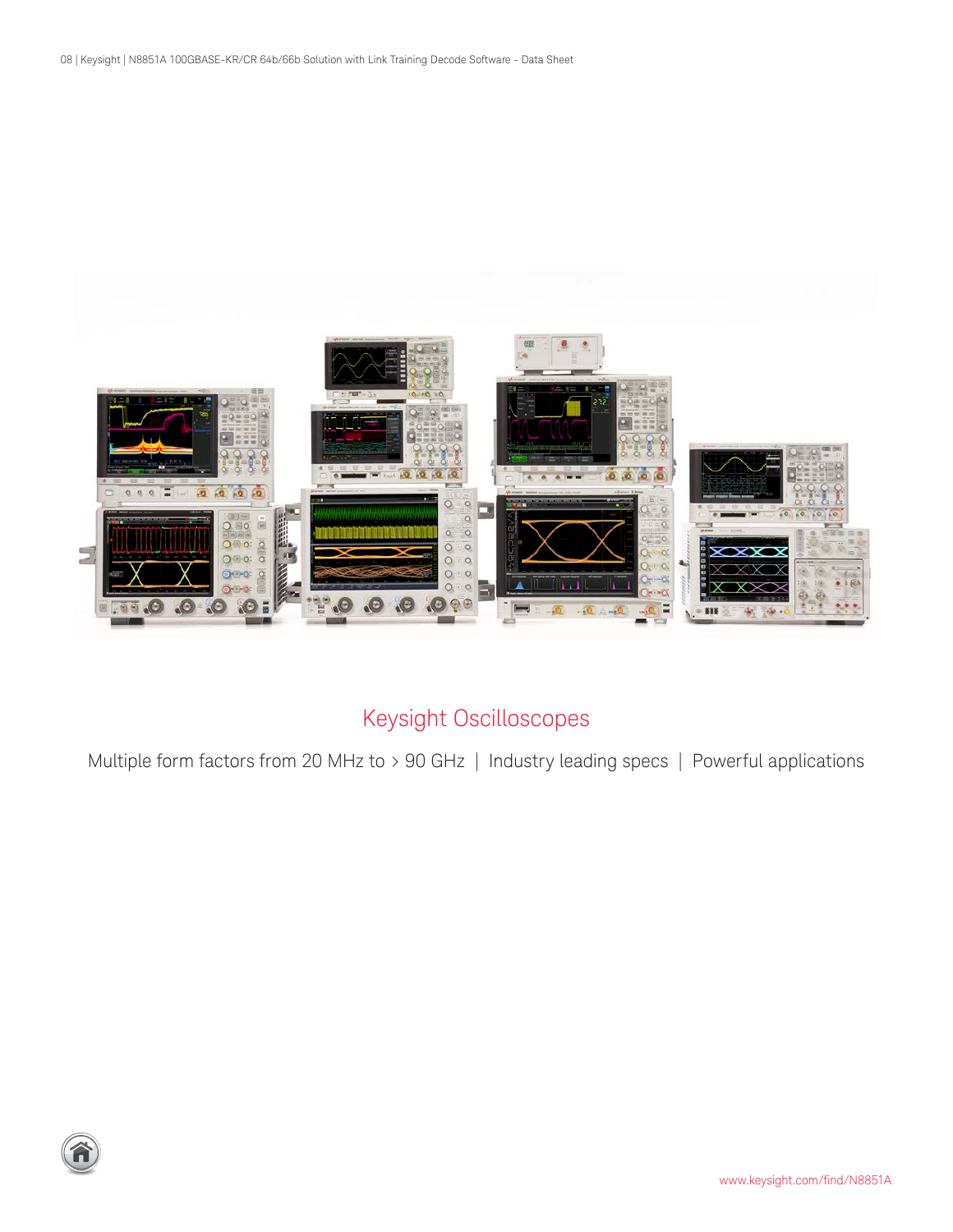<span id="page-7-0"></span>

## Keysight Oscilloscopes

Multiple form factors from 20 MHz to > 90 GHz | Industry leading specs | Powerful applications